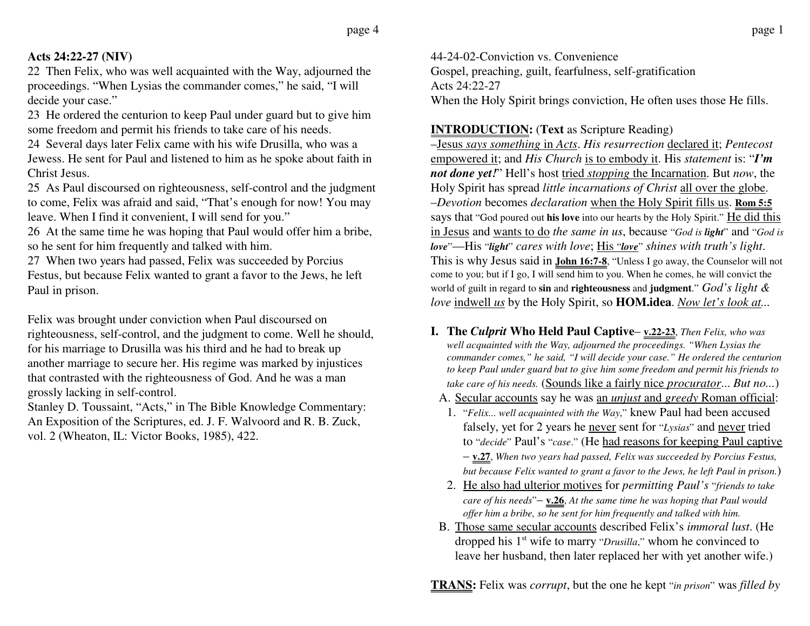## **Acts 24:22-27 (NIV)**

22 Then Felix, who was well acquainted with the Way, adjourned the proceedings. "When Lysias the commander comes," he said, "I will decide your case."

23 He ordered the centurion to keep Paul under guard but to give him some freedom and permit his friends to take care of his needs.

24 Several days later Felix came with his wife Drusilla, who was a Jewess. He sent for Paul and listened to him as he spoke about faith in Christ Jesus.

25 As Paul discoursed on righteousness, self-control and the judgment to come, Felix was afraid and said, "That's enough for now! You may leave. When I find it convenient, I will send for you."

26 At the same time he was hoping that Paul would offer him a bribe, so he sent for him frequently and talked with him.

27 When two years had passed, Felix was succeeded by Porcius Festus, but because Felix wanted to grant a favor to the Jews, he left Paul in prison.

Felix was brought under conviction when Paul discoursed on righteousness, self-control, and the judgment to come. Well he should, for his marriage to Drusilla was his third and he had to break up another marriage to secure her. His regime was marked by injustices that contrasted with the righteousness of God. And he was a man grossly lacking in self-control.

Stanley D. Toussaint, "Acts," in The Bible Knowledge Commentary: An Exposition of the Scriptures, ed. J. F. Walvoord and R. B. Zuck, vol. 2 (Wheaton, IL: Victor Books, 1985), 422.

44-24-02-Conviction vs. ConvenienceGospel, preaching, guilt, fearfulness, self-gratification Acts 24:22-27When the Holy Spirit brings conviction, He often uses those He fills.

**INTRODUCTION:** (**Text** as Scripture Reading)

–Jesus *says something* in *Acts*. *His resurrection* declared it; *Pentecost* empowered it; and *His Church* is to embody it. His *statement* is: "*I'm not done yet!*" Hell's host *tried <i>stopping* the Incarnation. But *now*, the Holy Spirit has spread *little incarnations of Christ* all over the globe. –*Devotion* becomes *declaration* when the Holy Spirit fills us. **Rom 5:5** says that "God poured out **his love** into our hearts by the Holy Spirit." He did this in Jesus and wants to do *the same in us*, because "*God is light*" and "*God is love*"—His "*light*" *cares with love*; His "*love*" *shines with truth's light*. This is why Jesus said in **John 16:7-8**, "Unless I go away, the Counselor will not come to you; but if I go, I will send him to you. When he comes, he will convict the world of guilt in regard to **sin** and **righteousness** and **judgment**." *God's light & love* indwell *us* by the Holy Spirit, so **HOM.idea**. *Now let's look at...*

- **I. The** *Culprit* **Who Held Paul Captive v.22-23**, *Then Felix, who was well acquainted with the Way, adjourned the proceedings. "When Lysias the commander comes," he said, "I will decide your case." He ordered the centurion to keep Paul under guard but to give him some freedom and permit his friends to take care of his needs.* (Sounds like a fairly nice *procurator*... *But no...*)
	- A. Secular accounts say he was an *unjust* and *greedy* Roman official:
	- 1. "*Felix... well acquainted with the Way*," knew Paul had been accused falsely, yet for 2 years he never sent for "*Lysias*" and never tried to "*decide*" Paul's "*case*." (He had reasons for keeping Paul captive – **v.27**, *When two years had passed, Felix was succeeded by Porcius Festus, but because Felix wanted to grant a favor to the Jews, he left Paul in prison.*)
	- 2. He also had ulterior motives for *permitting Paul's* "*friends to take care of his needs*"– **v.26**, *At the same time he was hoping that Paul would offer him a bribe, so he sent for him frequently and talked with him.*
	- B. Those same secular accounts described Felix's *immoral lust*. (He dropped his 1st wife to marry "*Drusilla*," whom he convinced to leave her husband, then later replaced her with yet another wife.)

**TRANS:** Felix was *corrupt*, but the one he kept "*in prison*" was *filled by*